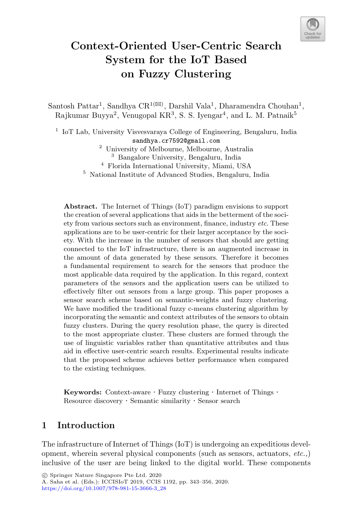

# **Context-Oriented User-Centric Search System for the IoT Based on Fuzzy Clustering**

Santosh Pattar<sup>1</sup>, Sandhya CR<sup>1( $\boxtimes$ )</sup>, Darshil Vala<sup>1</sup>, Dharamendra Chouhan<sup>1</sup>, Rajkumar Buyya<sup>2</sup>, Venugopal KR<sup>3</sup>, S. S. Iyengar<sup>4</sup>, and L. M. Patnaik<sup>5</sup>

 $1$  IoT Lab, University Visvesvaraya College of Engineering, Bengaluru, India sandhya.cr7592@gmail.com

- <sup>2</sup> University of Melbourne, Melbourne, Australia <sup>3</sup> Bangalore University, Bengaluru, India
- <sup>4</sup> Florida International University, Miami, USA

<sup>5</sup> National Institute of Advanced Studies, Bengaluru, India

**Abstract.** The Internet of Things (IoT) paradigm envisions to support the creation of several applications that aids in the betterment of the society from various sectors such as environment, finance, industry *etc*. These applications are to be user-centric for their larger acceptance by the society. With the increase in the number of sensors that should are getting connected to the IoT infrastructure, there is an augmented increase in the amount of data generated by these sensors. Therefore it becomes a fundamental requirement to search for the sensors that produce the most applicable data required by the application. In this regard, context parameters of the sensors and the application users can be utilized to effectively filter out sensors from a large group. This paper proposes a sensor search scheme based on semantic-weights and fuzzy clustering. We have modified the traditional fuzzy c-means clustering algorithm by incorporating the semantic and context attributes of the sensors to obtain fuzzy clusters. During the query resolution phase, the query is directed to the most appropriate cluster. These clusters are formed through the use of linguistic variables rather than quantitative attributes and thus aid in effective user-centric search results. Experimental results indicate that the proposed scheme achieves better performance when compared to the existing techniques.

**Keywords:** Context-aware  $\cdot$  Fuzzy clustering  $\cdot$  Internet of Things  $\cdot$  Resource discovery  $\cdot$  Semantic similarity  $\cdot$  Sensor search

# **1 Introduction**

The infrastructure of Internet of Things (IoT) is undergoing an expeditious development, wherein several physical components (such as sensors, actuators, *etc.,*) inclusive of the user are being linked to the digital world. These components

A. Saha et al. (Eds.): ICCISIoT 2019, CCIS 1192, pp. 343–356, 2020. [https://doi.org/10.1007/978-981-15-3666-3](https://doi.org/10.1007/978-981-15-3666-3_28)\_28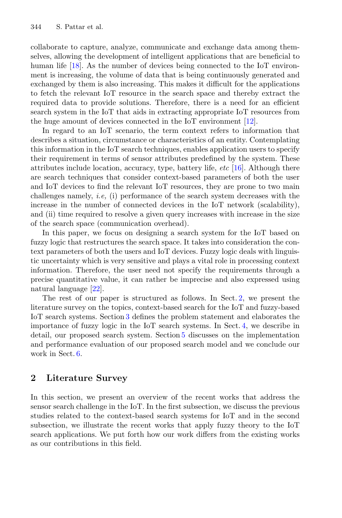collaborate to capture, analyze, communicate and exchange data among themselves, allowing the development of intelligent applications that are beneficial to human life [18]. As the number of devices being connected to the IoT environment is increasing, the volume of data that is being continuously generated and exchanged by them is also increasing. This makes it difficult for the applications to fetch the relevant IoT resource in the search space and thereby extract the required data to provide solutions. Therefore, there is a need for an efficient search system in the IoT that aids in extracting appropriate IoT resources from the huge amount of devices connected in the IoT environment [12].

In regard to an IoT scenario, the term context refers to information that describes a situation, circumstance or characteristics of an entity. Contemplating this information in the IoT search techniques, enables application users to specify their requirement in terms of sensor attributes predefined by the system. These attributes include location, accuracy, type, battery life, *etc* [16]. Although there are search techniques that consider context-based parameters of both the user and IoT devices to find the relevant IoT resources, they are prone to two main challenges namely, *i.e,* (i) performance of the search system decreases with the increase in the number of connected devices in the IoT network (scalability), and (ii) time required to resolve a given query increases with increase in the size of the search space (communication overhead).

In this paper, we focus on designing a search system for the IoT based on fuzzy logic that restructures the search space. It takes into consideration the context parameters of both the users and IoT devices. Fuzzy logic deals with linguistic uncertainty which is very sensitive and plays a vital role in processing context information. Therefore, the user need not specify the requirements through a precise quantitative value, it can rather be imprecise and also expressed using natural language [22].

The rest of our paper is structured as follows. In Sect. 2, we present the literature survey on the topics, context-based search for the IoT and fuzzy-based IoT search systems. Section 3 defines the problem statement and elaborates the importance of fuzzy logic in the IoT search systems. In Sect. 4, we describe in detail, our proposed search system. Section 5 discusses on the implementation and performance evaluation of our proposed search model and we conclude our work in Sect. 6.

# **2 Literature Survey**

In this section, we present an overview of the recent works that address the sensor search challenge in the IoT. In the first subsection, we discuss the previous studies related to the context-based search systems for IoT and in the second subsection, we illustrate the recent works that apply fuzzy theory to the IoT search applications. We put forth how our work differs from the existing works as our contributions in this field.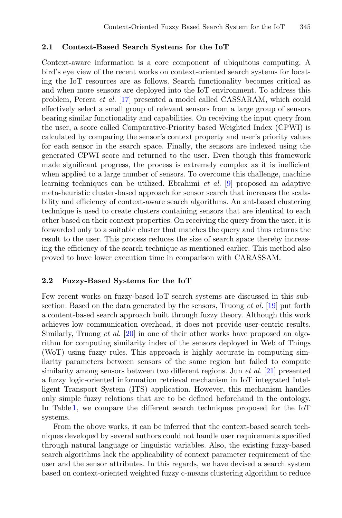#### **2.1 Context-Based Search Systems for the IoT**

Context-aware information is a core component of ubiquitous computing. A bird's eye view of the recent works on context-oriented search systems for locating the IoT resources are as follows. Search functionality becomes critical as and when more sensors are deployed into the IoT environment. To address this problem, Perera *et al.* [17] presented a model called CASSARAM, which could effectively select a small group of relevant sensors from a large group of sensors bearing similar functionality and capabilities. On receiving the input query from the user, a score called Comparative-Priority based Weighted Index (CPWI) is calculated by comparing the sensor's context property and user's priority values for each sensor in the search space. Finally, the sensors are indexed using the generated CPWI score and returned to the user. Even though this framework made significant progress, the process is extremely complex as it is inefficient when applied to a large number of sensors. To overcome this challenge, machine learning techniques can be utilized. Ebrahimi *et al.* [9] proposed an adaptive meta-heuristic cluster-based approach for sensor search that increases the scalability and efficiency of context-aware search algorithms. An ant-based clustering technique is used to create clusters containing sensors that are identical to each other based on their context properties. On receiving the query from the user, it is forwarded only to a suitable cluster that matches the query and thus returns the result to the user. This process reduces the size of search space thereby increasing the efficiency of the search technique as mentioned earlier. This method also proved to have lower execution time in comparison with CARASSAM.

#### **2.2 Fuzzy-Based Systems for the IoT**

Few recent works on fuzzy-based IoT search systems are discussed in this subsection. Based on the data generated by the sensors, Truong *et al.* [19] put forth a content-based search approach built through fuzzy theory. Although this work achieves low communication overhead, it does not provide user-centric results. Similarly, Truong *et al.* [20] in one of their other works have proposed an algorithm for computing similarity index of the sensors deployed in Web of Things (WoT) using fuzzy rules. This approach is highly accurate in computing similarity parameters between sensors of the same region but failed to compute similarity among sensors between two different regions. Jun *et al.* [21] presented a fuzzy logic-oriented information retrieval mechanism in IoT integrated Intelligent Transport System (ITS) application. However, this mechanism handles only simple fuzzy relations that are to be defined beforehand in the ontology. In Table 1, we compare the different search techniques proposed for the IoT systems.

From the above works, it can be inferred that the context-based search techniques developed by several authors could not handle user requirements specified through natural language or linguistic variables. Also, the existing fuzzy-based search algorithms lack the applicability of context parameter requirement of the user and the sensor attributes. In this regards, we have devised a search system based on context-oriented weighted fuzzy c-means clustering algorithm to reduce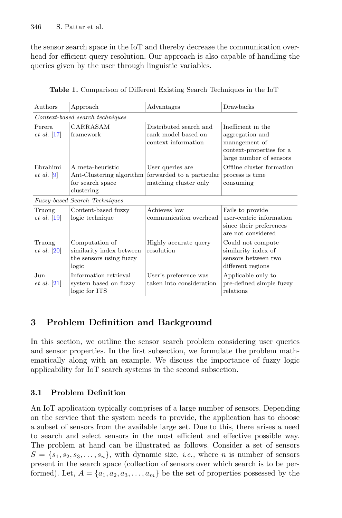the sensor search space in the IoT and thereby decrease the communication overhead for efficient query resolution. Our approach is also capable of handling the queries given by the user through linguistic variables.

| Authors                                            | Approach                                                                       | Advantages                                                             | Drawbacks                                                                                                     |
|----------------------------------------------------|--------------------------------------------------------------------------------|------------------------------------------------------------------------|---------------------------------------------------------------------------------------------------------------|
| Context-based search techniques                    |                                                                                |                                                                        |                                                                                                               |
| Perera.<br>$et\ al.\ [17]$                         | CARRASAM<br>framework                                                          | Distributed search and<br>rank model based on<br>context information   | Inefficient in the<br>aggregation and<br>management of<br>context-properties for a<br>large number of sensors |
| Ebrahimi<br>$et \ al. \ 9$                         | A meta-heuristic<br>Ant-Clustering algorithm<br>for search space               | User queries are<br>forwarded to a particular<br>matching cluster only | Offline cluster formation<br>process is time<br>consuming                                                     |
| clustering<br><b>Fuzzy-based Search Techniques</b> |                                                                                |                                                                        |                                                                                                               |
| Truong<br>$et \ al. [19]$                          | Content-based fuzzy<br>logic technique                                         | Achieves low<br>communication overhead                                 | Fails to provide<br>user-centric information<br>since their preferences<br>are not considered                 |
| Truong<br>$et \ al. \ [20]$                        | Computation of<br>similarity index between<br>the sensors using fuzzy<br>logic | Highly accurate query<br>resolution                                    | Could not compute<br>similarity index of<br>sensors between two<br>different regions                          |
| Jun<br><i>et al.</i> [21]                          | Information retrieval<br>system based on fuzzy<br>logic for ITS                | User's preference was<br>taken into consideration                      | Applicable only to<br>pre-defined simple fuzzy<br>relations                                                   |

**Table 1.** Comparison of Different Existing Search Techniques in the IoT

# **3 Problem Definition and Background**

In this section, we outline the sensor search problem considering user queries and sensor properties. In the first subsection, we formulate the problem mathematically along with an example. We discuss the importance of fuzzy logic applicability for IoT search systems in the second subsection.

# **3.1 Problem Definition**

An IoT application typically comprises of a large number of sensors. Depending on the service that the system needs to provide, the application has to choose a subset of sensors from the available large set. Due to this, there arises a need to search and select sensors in the most efficient and effective possible way. The problem at hand can be illustrated as follows. Consider a set of sensors  $S = \{s_1, s_2, s_3, \ldots, s_n\}$ , with dynamic size, *i.e.*, where *n* is number of sensors present in the search space (collection of sensors over which search is to be performed). Let,  $A = \{a_1, a_2, a_3, \ldots, a_m\}$  be the set of properties possessed by the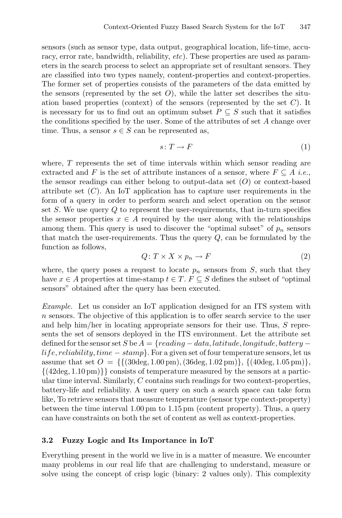sensors (such as sensor type, data output, geographical location, life-time, accuracy, error rate, bandwidth, reliability, *etc*). These properties are used as parameters in the search process to select an appropriate set of resultant sensors. They are classified into two types namely, content-properties and context-properties. The former set of properties consists of the parameters of the data emitted by the sensors (represented by the set  $O$ ), while the latter set describes the situation based properties (context) of the sensors (represented by the set  $C$ ). It is necessary for us to find out an optimum subset  $P \subseteq S$  such that it satisfies the conditions specified by the user. Some of the attributes of set A change over time. Thus, a sensor  $s \in S$  can be represented as,

$$
s \colon T \to F \tag{1}
$$

where,  $T$  represents the set of time intervals within which sensor reading are extracted and F is the set of attribute instances of a sensor, where  $F \subseteq A$  *i.e.*, the sensor readings can either belong to output-data set  $(O)$  or context-based attribute set  $(C)$ . An IoT application has to capture user requirements in the form of a query in order to perform search and select operation on the sensor set  $S$ . We use query  $Q$  to represent the user-requirements, that in-turn specifies the sensor properties  $x \in A$  required by the user along with the relationships among them. This query is used to discover the "optimal subset" of  $p_n$  sensors that match the user-requirements. Thus the query  $Q$ , can be formulated by the function as follows,

$$
Q: T \times X \times p_n \to F \tag{2}
$$

where, the query poses a request to locate  $p_n$  sensors from S, such that they have  $x \in A$  properties at time-stamp  $t \in T$ .  $F \subseteq S$  defines the subset of "optimal" sensors" obtained after the query has been executed.

*Example.* Let us consider an IoT application designed for an ITS system with n sensors. The objective of this application is to offer search service to the user and help him/her in locating appropriate sensors for their use. Thus,  $S$  represents the set of sensors deployed in the ITS environment. Let the attribute set defined for the sensor set S be  $A = \{reading - data, latitude, longitude, battery$  $life, reliability, time - stamp$ . For a given set of four temperature sensors, let us assume that set  $O = \{ \{ (30 \text{deg}, 1.00 \text{ pm}), (36 \text{deg}, 1.02 \text{ pm}) \}, \{ (40 \text{deg}, 1.05 \text{ pm}) \}, \}$  $\{(42\deg, 1.10 \text{ pm})\}$  consists of temperature measured by the sensors at a particular time interval. Similarly, C contains such readings for two context-properties, battery-life and reliability. A user query on such a search space can take form like, To retrieve sensors that measure temperature (sensor type context-property) between the time interval 1.00 pm to 1.15 pm (content property). Thus, a query can have constraints on both the set of content as well as context-properties.

## **3.2 Fuzzy Logic and Its Importance in IoT**

Everything present in the world we live in is a matter of measure. We encounter many problems in our real life that are challenging to understand, measure or solve using the concept of crisp logic (binary: 2 values only). This complexity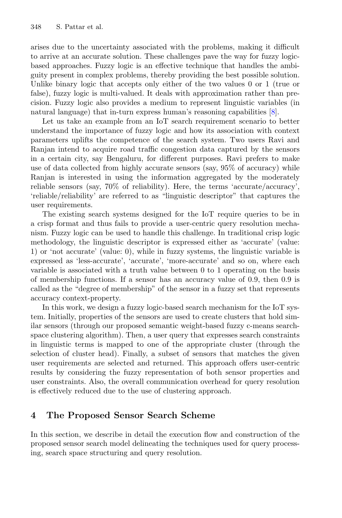arises due to the uncertainty associated with the problems, making it difficult to arrive at an accurate solution. These challenges pave the way for fuzzy logicbased approaches. Fuzzy logic is an effective technique that handles the ambiguity present in complex problems, thereby providing the best possible solution. Unlike binary logic that accepts only either of the two values 0 or 1 (true or false), fuzzy logic is multi-valued. It deals with approximation rather than precision. Fuzzy logic also provides a medium to represent linguistic variables (in natural language) that in-turn express human's reasoning capabilities [8].

Let us take an example from an IoT search requirement scenario to better understand the importance of fuzzy logic and how its association with context parameters uplifts the competence of the search system. Two users Ravi and Ranjan intend to acquire road traffic congestion data captured by the sensors in a certain city, say Bengaluru, for different purposes. Ravi prefers to make use of data collected from highly accurate sensors (say, 95% of accuracy) while Ranjan is interested in using the information aggregated by the moderately reliable sensors (say, 70% of reliability). Here, the terms 'accurate/accuracy', 'reliable/reliability' are referred to as "linguistic descriptor" that captures the user requirements.

The existing search systems designed for the IoT require queries to be in a crisp format and thus fails to provide a user-centric query resolution mechanism. Fuzzy logic can be used to handle this challenge. In traditional crisp logic methodology, the linguistic descriptor is expressed either as 'accurate' (value: 1) or 'not accurate' (value: 0), while in fuzzy systems, the linguistic variable is expressed as 'less-accurate', 'accurate', 'more-accurate' and so on, where each variable is associated with a truth value between 0 to 1 operating on the basis of membership functions. If a sensor has an accuracy value of 0.9, then 0.9 is called as the "degree of membership" of the sensor in a fuzzy set that represents accuracy context-property.

In this work, we design a fuzzy logic-based search mechanism for the IoT system. Initially, properties of the sensors are used to create clusters that hold similar sensors (through our proposed semantic weight-based fuzzy c-means searchspace clustering algorithm). Then, a user query that expresses search constraints in linguistic terms is mapped to one of the appropriate cluster (through the selection of cluster head). Finally, a subset of sensors that matches the given user requirements are selected and returned. This approach offers user-centric results by considering the fuzzy representation of both sensor properties and user constraints. Also, the overall communication overhead for query resolution is effectively reduced due to the use of clustering approach.

## **4 The Proposed Sensor Search Scheme**

In this section, we describe in detail the execution flow and construction of the proposed sensor search model delineating the techniques used for query processing, search space structuring and query resolution.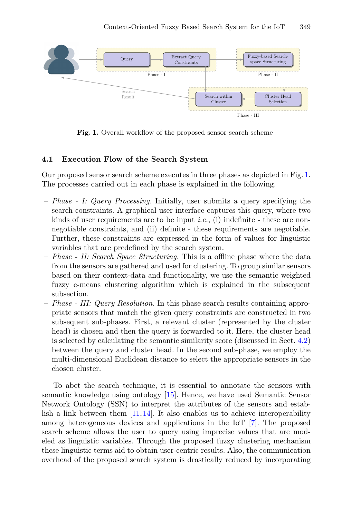

**Fig. 1.** Overall workflow of the proposed sensor search scheme

#### **4.1 Execution Flow of the Search System**

Our proposed sensor search scheme executes in three phases as depicted in Fig. 1. The processes carried out in each phase is explained in the following.

- *Phase I: Query Processing.* Initially, user submits a query specifying the search constraints. A graphical user interface captures this query, where two kinds of user requirements are to be input *i.e.*, (i) indefinite - these are nonnegotiable constraints, and (ii) definite - these requirements are negotiable. Further, these constraints are expressed in the form of values for linguistic variables that are predefined by the search system.
- *Phase II: Search Space Structuring.* This is a offline phase where the data from the sensors are gathered and used for clustering. To group similar sensors based on their context-data and functionality, we use the semantic weighted fuzzy c-means clustering algorithm which is explained in the subsequent subsection.
- *Phase III: Query Resolution.* In this phase search results containing appropriate sensors that match the given query constraints are constructed in two subsequent sub-phases. First, a relevant cluster (represented by the cluster head) is chosen and then the query is forwarded to it. Here, the cluster head is selected by calculating the semantic similarity score (discussed in Sect. 4.2) between the query and cluster head. In the second sub-phase, we employ the multi-dimensional Euclidean distance to select the appropriate sensors in the chosen cluster.

To abet the search technique, it is essential to annotate the sensors with semantic knowledge using ontology [15]. Hence, we have used Semantic Sensor Network Ontology (SSN) to interpret the attributes of the sensors and establish a link between them  $[11,14]$ . It also enables us to achieve interoperability among heterogeneous devices and applications in the IoT [7]. The proposed search scheme allows the user to query using imprecise values that are modeled as linguistic variables. Through the proposed fuzzy clustering mechanism these linguistic terms aid to obtain user-centric results. Also, the communication overhead of the proposed search system is drastically reduced by incorporating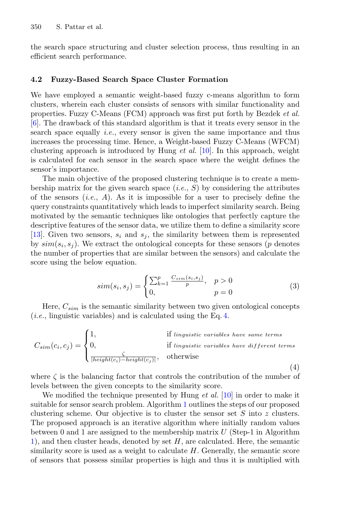the search space structuring and cluster selection process, thus resulting in an efficient search performance.

## **4.2 Fuzzy-Based Search Space Cluster Formation**

We have employed a semantic weight-based fuzzy c-means algorithm to form clusters, wherein each cluster consists of sensors with similar functionality and properties. Fuzzy C-Means (FCM) approach was first put forth by Bezdek *et al.* [6]. The drawback of this standard algorithm is that it treats every sensor in the search space equally *i.e.*, every sensor is given the same importance and thus increases the processing time. Hence, a Weight-based Fuzzy C-Means (WFCM) clustering approach is introduced by Hung *et al.* [10]. In this approach, weight is calculated for each sensor in the search space where the weight defines the sensor's importance.

The main objective of the proposed clustering technique is to create a membership matrix for the given search space (*i.e.*, S) by considering the attributes of the sensors (*i.e.*, A). As it is impossible for a user to precisely define the query constraints quantitatively which leads to imperfect similarity search. Being motivated by the semantic techniques like ontologies that perfectly capture the descriptive features of the sensor data, we utilize them to define a similarity score [13]. Given two sensors,  $s_i$  and  $s_j$ , the similarity between them is represented by  $sim(s_i, s_j)$ . We extract the ontological concepts for these sensors (p denotes the number of properties that are similar between the sensors) and calculate the score using the below equation.

$$
sim(s_i, s_j) = \begin{cases} \sum_{k=1}^{p} \frac{C_{sim}(s_i, s_j)}{p}, & p > 0\\ 0, & p = 0 \end{cases}
$$
 (3)

Here,  $C_{sim}$  is the semantic similarity between two given ontological concepts (*i.e.*, linguistic variables) and is calculated using the Eq. 4.

$$
C_{sim}(c_i, c_j) = \begin{cases} 1, & \text{if } linguistic\ variables\ have\ same\ terms\\ 0, & \text{if } linguistic\ variables\ have\ different\ terms\\ \frac{\zeta}{|height(c_i) - height(c_j)|}, & \text{otherwise} \end{cases} \tag{4}
$$

where  $\zeta$  is the balancing factor that controls the contribution of the number of levels between the given concepts to the similarity score.

We modified the technique presented by Hung *et al.* [10] in order to make it suitable for sensor search problem. Algorithm 1 outlines the steps of our proposed clustering scheme. Our objective is to cluster the sensor set  $S$  into  $z$  clusters. The proposed approach is an iterative algorithm where initially random values between 0 and 1 are assigned to the membership matrix  $U$  (Step-1 in Algorithm 1), and then cluster heads, denoted by set H, are calculated. Here, the semantic similarity score is used as a weight to calculate  $H$ . Generally, the semantic score of sensors that possess similar properties is high and thus it is multiplied with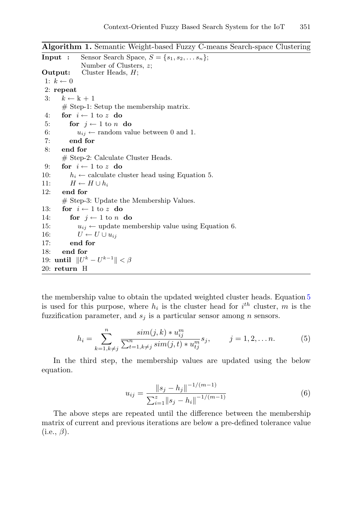```
Algorithm 1. Semantic Weight-based Fuzzy C-means Search-space Clustering
Input : Sensor Search Space, S = \{s_1, s_2, \ldots s_n\};Number of Clusters, z;
Output: Cluster Heads, H;
 1: k \leftarrow 02: repeat
 3: k \leftarrow k+1# Step-1: Setup the membership matrix.
 4: for i \leftarrow 1 to z do<br>5: for j \leftarrow 1 to n
 5: for j \leftarrow 1 to n do<br>6: u_{ij} \leftarrow random val
 6: u_{ij} \leftarrow \text{random value between 0 and 1.}<br>7: end for
            7: end for
 8: end for
        # Step-2: Calculate Cluster Heads.
9: for i \leftarrow 1 to z do<br>10: h_i \leftarrow calculate cl
10: h_i \leftarrow calculate cluster head using Equation 5.<br>11: H \leftarrow H \cup h_i11: H \leftarrow H \cup h_i<br>12: end for
        end for
        # Step-3: Update the Membership Values.
13: for i \leftarrow 1 to z do<br>14: for i \leftarrow 1 to n
14: for j \leftarrow 1 to n do<br>15: u_{ij} \leftarrow \text{update me}15: u_{ij} \leftarrow \text{update membership value using Equation 6.}<br>16: U \leftarrow U \cup u_{ij}16: U \leftarrow U \cup u_{ij}<br>17: end for
            end for
18: end for
19: until ||U^k - U^{k-1}|| < \beta20: return H
```
the membership value to obtain the updated weighted cluster heads. Equation 5 is used for this purpose, where  $h_i$  is the cluster head for  $i^{th}$  cluster, m is the fuzzification parameter, and  $s_i$  is a particular sensor among *n* sensors.

$$
h_i = \sum_{k=1, k \neq j}^{n} \frac{\sin(j, k) * u_{ij}^m}{\sum_{t=1, k \neq j}^{n} \sin(j, t) * u_{tj}^m} s_j, \qquad j = 1, 2, \dots n.
$$
 (5)

In the third step, the membership values are updated using the below equation.

$$
u_{ij} = \frac{\|s_j - h_j\|^{-1/(m-1)}}{\sum_{i=1}^{z} \|s_j - h_i\|^{-1/(m-1)}}
$$
(6)

The above steps are repeated until the difference between the membership matrix of current and previous iterations are below a pre-defined tolerance value  $(i.e., \beta).$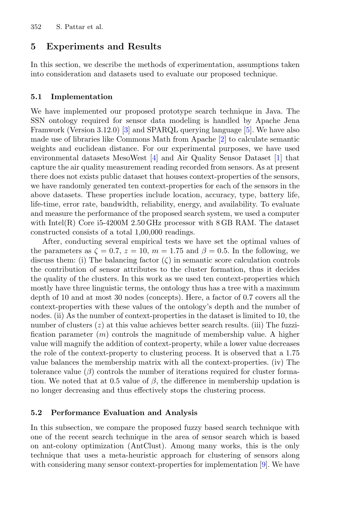# **5 Experiments and Results**

In this section, we describe the methods of experimentation, assumptions taken into consideration and datasets used to evaluate our proposed technique.

## **5.1 Implementation**

We have implemented our proposed prototype search technique in Java. The SSN ontology required for sensor data modeling is handled by Apache Jena Framwork (Version 3.12.0) [3] and SPARQL querying language [5]. We have also made use of libraries like Commons Math from Apache [2] to calculate semantic weights and euclidean distance. For our experimental purposes, we have used environmental datasets MesoWest [4] and Air Quality Sensor Dataset [1] that capture the air quality measurement reading recorded from sensors. As at present there does not exists public dataset that houses context-properties of the sensors, we have randomly generated ten context-properties for each of the sensors in the above datasets. These properties include location, accuracy, type, battery life, life-time, error rate, bandwidth, reliability, energy, and availability. To evaluate and measure the performance of the proposed search system, we used a computer with Intel(R) Core i5-4200M 2.50 GHz processor with 8 GB RAM. The dataset constructed consists of a total 1,00,000 readings.

After, conducting several empirical tests we have set the optimal values of the parameters as  $\zeta = 0.7$ ,  $z = 10$ ,  $m = 1.75$  and  $\beta = 0.5$ . In the following, we discuss them: (i) The balancing factor  $(\zeta)$  in semantic score calculation controls the contribution of sensor attributes to the cluster formation, thus it decides the quality of the clusters. In this work as we used ten context-properties which mostly have three linguistic terms, the ontology thus has a tree with a maximum depth of 10 and at most 30 nodes (concepts). Here, a factor of 0.7 covers all the context-properties with these values of the ontology's depth and the number of nodes. (ii) As the number of context-properties in the dataset is limited to 10, the number of clusters  $(z)$  at this value achieves better search results. (iii) The fuzzification parameter  $(m)$  controls the magnitude of membership value. A higher value will magnify the addition of context-property, while a lower value decreases the role of the context-property to clustering process. It is observed that a 1.75 value balances the membership matrix with all the context-properties. (iv) The tolerance value  $(\beta)$  controls the number of iterations required for cluster formation. We noted that at 0.5 value of  $\beta$ , the difference in membership updation is no longer decreasing and thus effectively stops the clustering process.

## **5.2 Performance Evaluation and Analysis**

In this subsection, we compare the proposed fuzzy based search technique with one of the recent search technique in the area of sensor search which is based on ant-colony optimization (AntClust). Among many works, this is the only technique that uses a meta-heuristic approach for clustering of sensors along with considering many sensor context-properties for implementation [9]. We have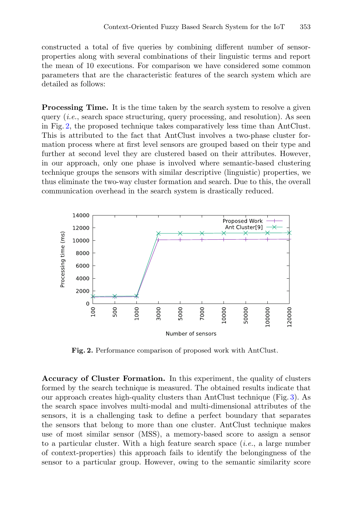constructed a total of five queries by combining different number of sensorproperties along with several combinations of their linguistic terms and report the mean of 10 executions. For comparison we have considered some common parameters that are the characteristic features of the search system which are detailed as follows:

**Processing Time.** It is the time taken by the search system to resolve a given query (*i.e.*, search space structuring, query processing, and resolution). As seen in Fig. 2, the proposed technique takes comparatively less time than AntClust. This is attributed to the fact that AntClust involves a two-phase cluster formation process where at first level sensors are grouped based on their type and further at second level they are clustered based on their attributes. However, in our approach, only one phase is involved where semantic-based clustering technique groups the sensors with similar descriptive (linguistic) properties, we thus eliminate the two-way cluster formation and search. Due to this, the overall communication overhead in the search system is drastically reduced.



**Fig. 2.** Performance comparison of proposed work with AntClust.

**Accuracy of Cluster Formation.** In this experiment, the quality of clusters formed by the search technique is measured. The obtained results indicate that our approach creates high-quality clusters than AntClust technique (Fig. 3). As the search space involves multi-modal and multi-dimensional attributes of the sensors, it is a challenging task to define a perfect boundary that separates the sensors that belong to more than one cluster. AntClust technique makes use of most similar sensor (MSS), a memory-based score to assign a sensor to a particular cluster. With a high feature search space (*i.e.*, a large number of context-properties) this approach fails to identify the belongingness of the sensor to a particular group. However, owing to the semantic similarity score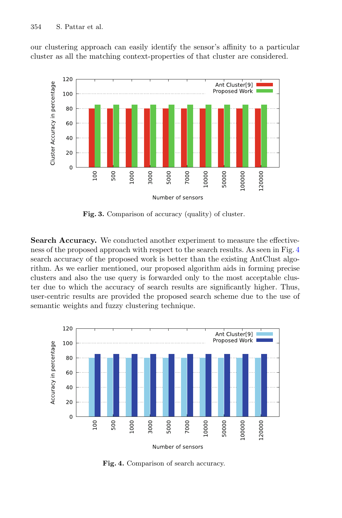our clustering approach can easily identify the sensor's affinity to a particular cluster as all the matching context-properties of that cluster are considered.



**Fig. 3.** Comparison of accuracy (quality) of cluster.

**Search Accuracy.** We conducted another experiment to measure the effectiveness of the proposed approach with respect to the search results. As seen in Fig. 4 search accuracy of the proposed work is better than the existing AntClust algorithm. As we earlier mentioned, our proposed algorithm aids in forming precise clusters and also the use query is forwarded only to the most acceptable cluster due to which the accuracy of search results are significantly higher. Thus, user-centric results are provided the proposed search scheme due to the use of semantic weights and fuzzy clustering technique.



**Fig. 4.** Comparison of search accuracy.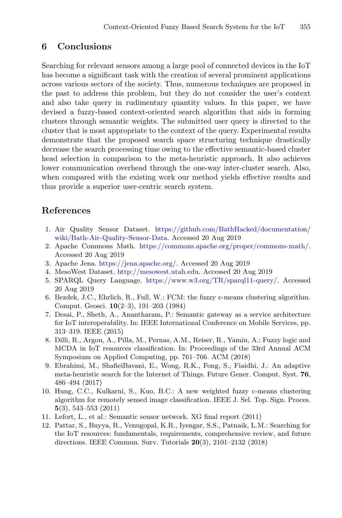# **6 Conclusions**

Searching for relevant sensors among a large pool of connected devices in the IoT has become a significant task with the creation of several prominent applications across various sectors of the society. Thus, numerous techniques are proposed in the past to address this problem, but they do not consider the user's context and also take query in rudimentary quantity values. In this paper, we have devised a fuzzy-based context-oriented search algorithm that aids in forming clusters through semantic weights. The submitted user query is directed to the cluster that is most appropriate to the context of the query. Experimental results demonstrate that the proposed search space structuring technique drastically decrease the search processing time owing to the effective semantic-based cluster head selection in comparison to the meta-heuristic approach. It also achieves lower communication overhead through the one-way inter-cluster search. Also, when compared with the existing work our method yields effective results and thus provide a superior user-centric search system.

# **References**

- 1. Air Quality Sensor Dataset. [https://github.com/BathHacked/documentation/](https://github.com/BathHacked/documentation/wiki/Bath-Air-Quality-Sensor-Data) [wiki/Bath-Air-Quality-Sensor-Data.](https://github.com/BathHacked/documentation/wiki/Bath-Air-Quality-Sensor-Data) Accessed 20 Aug 2019
- 2. Apache Commons Math. [https://commons.apache.org/proper/commons-math/.](https://commons.apache.org/proper/commons-math/) Accessed 20 Aug 2019
- 3. Apache Jena. [https://jena.apache.org/.](https://jena.apache.org/) Accessed 20 Aug 2019
- 4. MesoWest Dataset. [http://mesowest.utah.edu.](http://mesowest.utah.edu) Accessed 20 Aug 2019
- 5. SPARQL Query Language. [https://www.w3.org/TR/sparql11-query/.](https://www.w3.org/TR/sparql11-query/) Accessed 20 Aug 2019
- 6. Bezdek, J.C., Ehrlich, R., Full, W.: FCM: the fuzzy c-means clustering algorithm. Comput. Geosci. **10**(2–3), 191–203 (1984)
- 7. Desai, P., Sheth, A., Anantharam, P.: Semantic gateway as a service architecture for IoT interoperability. In: IEEE International Conference on Mobile Services, pp. 313–319. IEEE (2015)
- 8. Dilli, R., Argou, A., Pilla, M., Pernas, A.M., Reiser, R., Yamin, A.: Fuzzy logic and MCDA in IoT resources classification. In: Proceedings of the 33rd Annual ACM Symposium on Applied Computing, pp. 761–766. ACM (2018)
- 9. Ebrahimi, M., ShafieiBavani, E., Wong, R.K., Fong, S., Fiaidhi, J.: An adaptive meta-heuristic search for the Internet of Things. Future Gener. Comput. Syst. **76**, 486–494 (2017)
- 10. Hung, C.C., Kulkarni, S., Kuo, B.C.: A new weighted fuzzy c-means clustering algorithm for remotely sensed image classification. IEEE J. Sel. Top. Sign. Proces. **5**(3), 543–553 (2011)
- 11. Lefort, L., et al.: Semantic sensor network. XG final report (2011)
- 12. Pattar, S., Buyya, R., Venugopal, K.R., Iyengar, S.S., Patnaik, L.M.: Searching for the IoT resources: fundamentals, requirements, comprehensive review, and future directions. IEEE Commun. Surv. Tutorials **20**(3), 2101–2132 (2018)